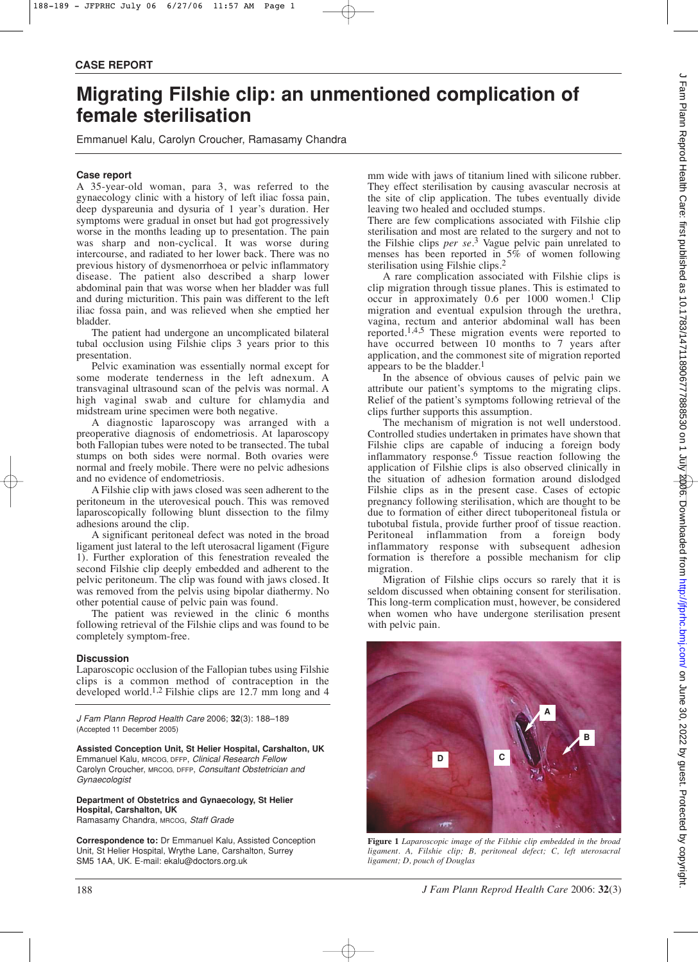## **CASE REPORT**

# **Migrating Filshie clip: an unmentioned complication of female sterilisation**

Emmanuel Kalu, Carolyn Croucher, Ramasamy Chandra

## **Case report**

A 35-year-old woman, para 3, was referred to the gynaecology clinic with a history of left iliac fossa pain, deep dyspareunia and dysuria of 1 year's duration. Her symptoms were gradual in onset but had got progressively worse in the months leading up to presentation. The pain was sharp and non-cyclical. It was worse during intercourse, and radiated to her lower back. There was no previous history of dysmenorrhoea or pelvic inflammatory disease. The patient also described a sharp lower abdominal pain that was worse when her bladder was full and during micturition. This pain was different to the left iliac fossa pain, and was relieved when she emptied her bladder.

The patient had undergone an uncomplicated bilateral tubal occlusion using Filshie clips 3 years prior to this presentation.

Pelvic examination was essentially normal except for some moderate tenderness in the left adnexum. A transvaginal ultrasound scan of the pelvis was normal. A high vaginal swab and culture for chlamydia and midstream urine specimen were both negative.

A diagnostic laparoscopy was arranged with a preoperative diagnosis of endometriosis. At laparoscopy both Fallopian tubes were noted to be transected. The tubal stumps on both sides were normal. Both ovaries were normal and freely mobile. There were no pelvic adhesions and no evidence of endometriosis.

A Filshie clip with jaws closed was seen adherent to the peritoneum in the uterovesical pouch. This was removed laparoscopically following blunt dissection to the filmy adhesions around the clip.

A significant peritoneal defect was noted in the broad ligament just lateral to the left uterosacral ligament (Figure 1). Further exploration of this fenestration revealed the second Filshie clip deeply embedded and adherent to the pelvic peritoneum. The clip was found with jaws closed. It was removed from the pelvis using bipolar diathermy. No other potential cause of pelvic pain was found.

The patient was reviewed in the clinic 6 months following retrieval of the Filshie clips and was found to be completely symptom-free.

## **Discussion**

Laparoscopic occlusion of the Fallopian tubes using Filshie clips is a common method of contraception in the developed world.1,2 Filshie clips are 12.7 mm long and 4

*J Fam Plann Reprod Health Care* 2006; **32**(3): 188–189 (Accepted 11 December 2005)

**Assisted Conception Unit, St Helier Hospital, Carshalton, UK** Emmanuel Kalu, MRCOG, DFFP, *Clinical Research Fellow* Carolyn Croucher, MRCOG, DFFP, *Consultant Obstetrician and Gynaecologist*

**Department of Obstetrics and Gynaecology, St Helier Hospital, Carshalton, UK** Ramasamy Chandra, MRCOG, *Staff Grade* 

**Correspondence to:** Dr Emmanuel Kalu, Assisted Conception Unit, St Helier Hospital, Wrythe Lane, Carshalton, Surrey SM5 1AA, UK. E-mail: ekalu@doctors.org.uk

mm wide with jaws of titanium lined with silicone rubber. They effect sterilisation by causing avascular necrosis at the site of clip application. The tubes eventually divide leaving two healed and occluded stumps.

There are few complications associated with Filshie clip sterilisation and most are related to the surgery and not to the Filshie clips *per se* . 3 Vague pelvic pain unrelated to menses has been reported in  $5\%$  of women following sterilisation using Filshie clips. 2

A rare complication associated with Filshie clips is clip migration through tissue planes. This is estimated to occur in approximately 0.6 per 1000 women. 1 Clip migration and eventual expulsion through the urethra, vagina, rectum and anterior abdominal wall has been reported.1,4,5 These migration events were reported to have occurred between 10 months to 7 years after application, and the commonest site of migration reported appears to be the bladder. 1

In the absence of obvious causes of pelvic pain we attribute our patient's symptoms to the migrating clips. Relief of the patient's symptoms following retrieval of the clips further supports this assumption.

The mechanism of migration is not well understood. Controlled studies undertaken in primates have shown that Filshie clips are capable of inducing a foreign body inflammatory response. 6 Tissue reaction following the application of Filshie clips is also observed clinically in the situation of adhesion formation around dislodged Filshie clips as in the present case. Cases of ectopic pregnancy following sterilisation, which are thought to be due to formation of either direct tuboperitoneal fistula or tubotubal fistula, provide further proof of tissue reaction. Peritoneal inflammation from a foreign body inflammatory response with subsequent adhesion formation is therefore a possible mechanism for clip migration.

Migration of Filshie clips occurs so rarely that it is seldom discussed when obtaining consent for sterilisation. This long-term complication must, however, be considered when women who have undergone sterilisation present with pelvic pain.



**Figure 1** *Laparoscopic image of the Filshie clip embedded in the broad ligament. A, Filshie clip; B, peritoneal defect; C, left uterosacral ligament; D, pouch of Douglas*